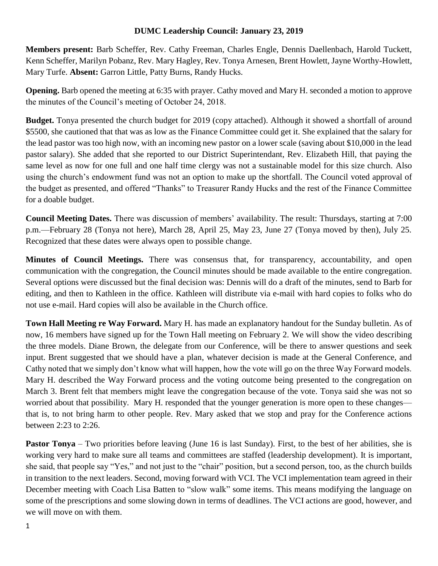## **DUMC Leadership Council: January 23, 2019**

**Members present:** Barb Scheffer, Rev. Cathy Freeman, Charles Engle, Dennis Daellenbach, Harold Tuckett, Kenn Scheffer, Marilyn Pobanz, Rev. Mary Hagley, Rev. Tonya Arnesen, Brent Howlett, Jayne Worthy-Howlett, Mary Turfe. **Absent:** Garron Little, Patty Burns, Randy Hucks.

**Opening.** Barb opened the meeting at 6:35 with prayer. Cathy moved and Mary H. seconded a motion to approve the minutes of the Council's meeting of October 24, 2018.

**Budget.** Tonya presented the church budget for 2019 (copy attached). Although it showed a shortfall of around \$5500, she cautioned that that was as low as the Finance Committee could get it. She explained that the salary for the lead pastor was too high now, with an incoming new pastor on a lower scale (saving about \$10,000 in the lead pastor salary). She added that she reported to our District Superintendant, Rev. Elizabeth Hill, that paying the same level as now for one full and one half time clergy was not a sustainable model for this size church. Also using the church's endowment fund was not an option to make up the shortfall. The Council voted approval of the budget as presented, and offered "Thanks" to Treasurer Randy Hucks and the rest of the Finance Committee for a doable budget.

**Council Meeting Dates.** There was discussion of members' availability. The result: Thursdays, starting at 7:00 p.m.—February 28 (Tonya not here), March 28, April 25, May 23, June 27 (Tonya moved by then), July 25. Recognized that these dates were always open to possible change.

**Minutes of Council Meetings.** There was consensus that, for transparency, accountability, and open communication with the congregation, the Council minutes should be made available to the entire congregation. Several options were discussed but the final decision was: Dennis will do a draft of the minutes, send to Barb for editing, and then to Kathleen in the office. Kathleen will distribute via e-mail with hard copies to folks who do not use e-mail. Hard copies will also be available in the Church office.

**Town Hall Meeting re Way Forward.** Mary H. has made an explanatory handout for the Sunday bulletin. As of now, 16 members have signed up for the Town Hall meeting on February 2. We will show the video describing the three models. Diane Brown, the delegate from our Conference, will be there to answer questions and seek input. Brent suggested that we should have a plan, whatever decision is made at the General Conference, and Cathy noted that we simply don't know what will happen, how the vote will go on the three Way Forward models. Mary H. described the Way Forward process and the voting outcome being presented to the congregation on March 3. Brent felt that members might leave the congregation because of the vote. Tonya said she was not so worried about that possibility. Mary H. responded that the younger generation is more open to these changes that is, to not bring harm to other people. Rev. Mary asked that we stop and pray for the Conference actions between 2:23 to 2:26.

**Pastor Tonya** – Two priorities before leaving (June 16 is last Sunday). First, to the best of her abilities, she is working very hard to make sure all teams and committees are staffed (leadership development). It is important, she said, that people say "Yes," and not just to the "chair" position, but a second person, too, as the church builds in transition to the next leaders. Second, moving forward with VCI. The VCI implementation team agreed in their December meeting with Coach Lisa Batten to "slow walk" some items. This means modifying the language on some of the prescriptions and some slowing down in terms of deadlines. The VCI actions are good, however, and we will move on with them.